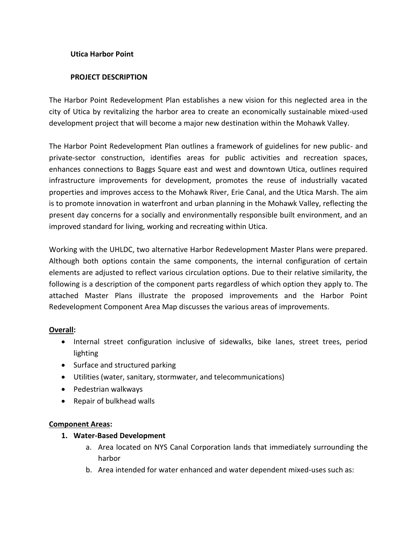### **Utica Harbor Point**

### **PROJECT DESCRIPTION**

The Harbor Point Redevelopment Plan establishes a new vision for this neglected area in the city of Utica by revitalizing the harbor area to create an economically sustainable mixed-used development project that will become a major new destination within the Mohawk Valley.

The Harbor Point Redevelopment Plan outlines a framework of guidelines for new public- and private-sector construction, identifies areas for public activities and recreation spaces, enhances connections to Baggs Square east and west and downtown Utica, outlines required infrastructure improvements for development, promotes the reuse of industrially vacated properties and improves access to the Mohawk River, Erie Canal, and the Utica Marsh. The aim is to promote innovation in waterfront and urban planning in the Mohawk Valley, reflecting the present day concerns for a socially and environmentally responsible built environment, and an improved standard for living, working and recreating within Utica.

Working with the UHLDC, two alternative Harbor Redevelopment Master Plans were prepared. Although both options contain the same components, the internal configuration of certain elements are adjusted to reflect various circulation options. Due to their relative similarity, the following is a description of the component parts regardless of which option they apply to. The attached Master Plans illustrate the proposed improvements and the Harbor Point Redevelopment Component Area Map discusses the various areas of improvements.

#### **Overall:**

- Internal street configuration inclusive of sidewalks, bike lanes, street trees, period lighting
- Surface and structured parking
- Utilities (water, sanitary, stormwater, and telecommunications)
- Pedestrian walkways
- Repair of bulkhead walls

## **Component Areas:**

#### **1. Water-Based Development**

- a. Area located on NYS Canal Corporation lands that immediately surrounding the harbor
- b. Area intended for water enhanced and water dependent mixed-uses such as: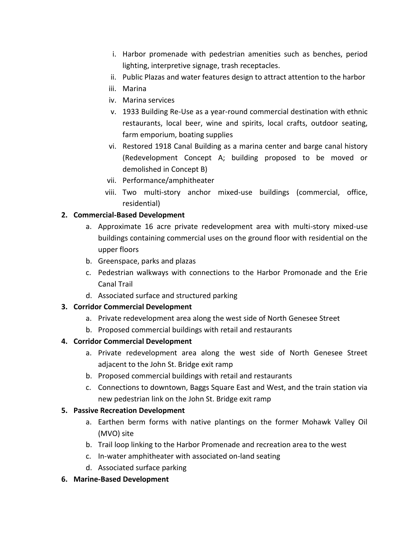- i. Harbor promenade with pedestrian amenities such as benches, period lighting, interpretive signage, trash receptacles.
- ii. Public Plazas and water features design to attract attention to the harbor
- iii. Marina
- iv. Marina services
- v. 1933 Building Re-Use as a year-round commercial destination with ethnic restaurants, local beer, wine and spirits, local crafts, outdoor seating, farm emporium, boating supplies
- vi. Restored 1918 Canal Building as a marina center and barge canal history (Redevelopment Concept A; building proposed to be moved or demolished in Concept B)
- vii. Performance/amphitheater
- viii. Two multi-story anchor mixed-use buildings (commercial, office, residential)

# **2. Commercial-Based Development**

- a. Approximate 16 acre private redevelopment area with multi-story mixed-use buildings containing commercial uses on the ground floor with residential on the upper floors
- b. Greenspace, parks and plazas
- c. Pedestrian walkways with connections to the Harbor Promonade and the Erie Canal Trail
- d. Associated surface and structured parking

## **3. Corridor Commercial Development**

- a. Private redevelopment area along the west side of North Genesee Street
- b. Proposed commercial buildings with retail and restaurants

# **4. Corridor Commercial Development**

- a. Private redevelopment area along the west side of North Genesee Street adjacent to the John St. Bridge exit ramp
- b. Proposed commercial buildings with retail and restaurants
- c. Connections to downtown, Baggs Square East and West, and the train station via new pedestrian link on the John St. Bridge exit ramp

## **5. Passive Recreation Development**

- a. Earthen berm forms with native plantings on the former Mohawk Valley Oil (MVO) site
- b. Trail loop linking to the Harbor Promenade and recreation area to the west
- c. In-water amphitheater with associated on-land seating
- d. Associated surface parking
- **6. Marine-Based Development**